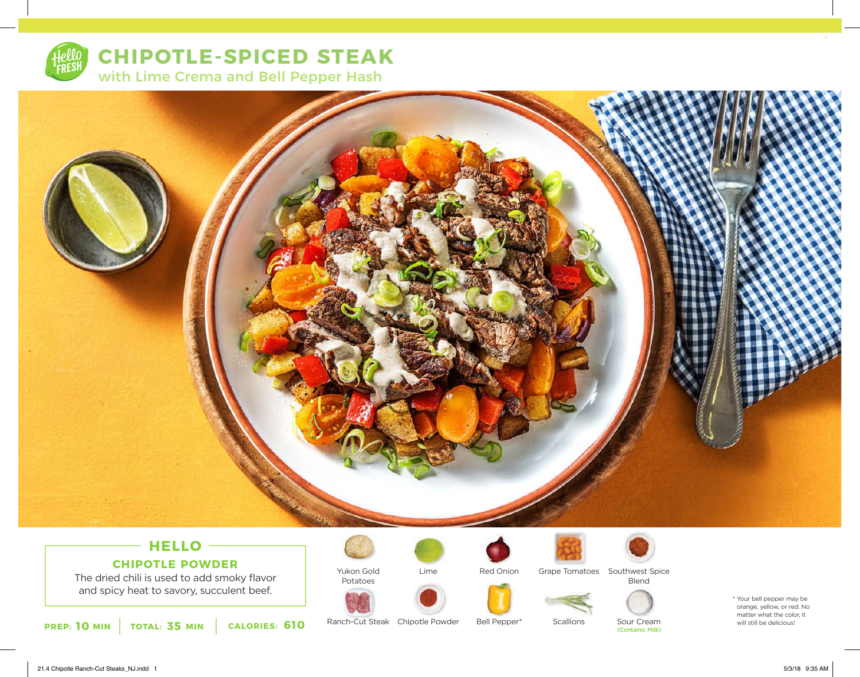

**CHIPOTLE-SPICED STEAK**  with Lime Crema and Bell Pepper Hash



### **HELLO CHIPOTLE POWDER**

The dried chili is used to add smoky flavor and spicy heat to savory, succulent beef.

**10 MIN** TOTAL: 35 MIN CALORIES: 610 Ranch-Cut Steak Chipotle Powder Bell Pepper\* Scallions Sour Cream (Contains: Milk) will still be delicious!



Ranch-Cut Steak Chipotle Powder



Lime



Red Onion

Bell Pepper\*



**Scallions** 

Grape Tomatoes Southwest Spice Blend



Sour Cream (Contains: Milk) \* Your bell pepper may be orange, yellow, or red. No matter what the color, it